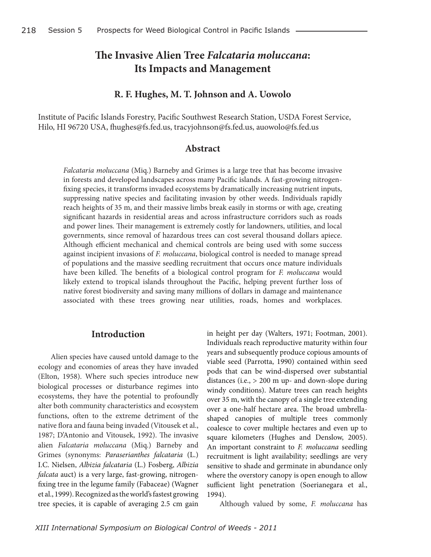# **The Invasive Alien Tree** *Falcataria moluccana***: Its Impacts and Management**

#### **R. F. Hughes, M. T. Johnson and A. Uowolo**

Institute of Pacific Islands Forestry, Pacific Southwest Research Station, USDA Forest Service, Hilo, HI 96720 USA, fhughes@fs.fed.us, tracyjohnson@fs.fed.us, auowolo@fs.fed.us

#### **Abstract**

*Falcataria moluccana* (Miq.) Barneby and Grimes is a large tree that has become invasive in forests and developed landscapes across many Pacific islands. A fast-growing nitrogenfixing species, it transforms invaded ecosystems by dramatically increasing nutrient inputs, suppressing native species and facilitating invasion by other weeds. Individuals rapidly reach heights of 35 m, and their massive limbs break easily in storms or with age, creating significant hazards in residential areas and across infrastructure corridors such as roads and power lines. Their management is extremely costly for landowners, utilities, and local governments, since removal of hazardous trees can cost several thousand dollars apiece. Although efficient mechanical and chemical controls are being used with some success against incipient invasions of *F. moluccana*, biological control is needed to manage spread of populations and the massive seedling recruitment that occurs once mature individuals have been killed. The benefits of a biological control program for *F. moluccana* would likely extend to tropical islands throughout the Pacific, helping prevent further loss of native forest biodiversity and saving many millions of dollars in damage and maintenance associated with these trees growing near utilities, roads, homes and workplaces.

#### **Introduction**

Alien species have caused untold damage to the ecology and economies of areas they have invaded (Elton, 1958). Where such species introduce new biological processes or disturbance regimes into ecosystems, they have the potential to profoundly alter both community characteristics and ecosystem functions, often to the extreme detriment of the native flora and fauna being invaded (Vitousek et al., 1987; D'Antonio and Vitousek, 1992). The invasive alien *Falcataria moluccana* (Miq.) Barneby and Grimes (synonyms: *Paraserianthes falcataria* (L.) I.C. Nielsen, *Albizia falcataria* (L.) Fosberg, *Albizia falcata* auct) is a very large, fast-growing, nitrogenfixing tree in the legume family (Fabaceae) (Wagner et al., 1999). Recognized as the world's fastest growing tree species, it is capable of averaging 2.5 cm gain

in height per day (Walters, 1971; Footman, 2001). Individuals reach reproductive maturity within four years and subsequently produce copious amounts of viable seed (Parrotta, 1990) contained within seed pods that can be wind-dispersed over substantial distances (i.e., > 200 m up- and down-slope during windy conditions). Mature trees can reach heights over 35 m, with the canopy of a single tree extending over a one-half hectare area. The broad umbrellashaped canopies of multiple trees commonly coalesce to cover multiple hectares and even up to square kilometers (Hughes and Denslow, 2005). An important constraint to *F. moluccana* seedling recruitment is light availability; seedlings are very sensitive to shade and germinate in abundance only where the overstory canopy is open enough to allow sufficient light penetration (Soerianegara et al., 1994).

Although valued by some, *F. moluccana* has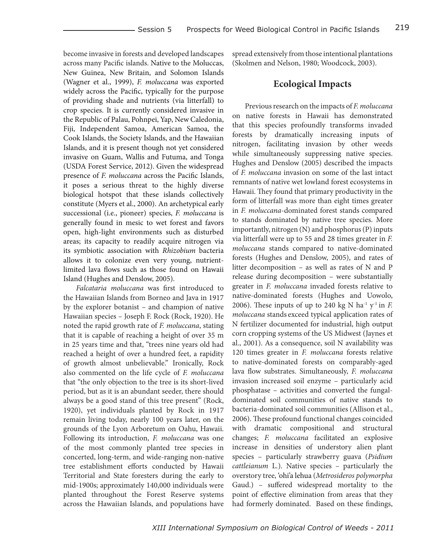become invasive in forests and developed landscapes across many Pacific islands. Native to the Moluccas, New Guinea, New Britain, and Solomon Islands (Wagner et al., 1999), *F. moluccana* was exported widely across the Pacific, typically for the purpose of providing shade and nutrients (via litterfall) to crop species. It is currently considered invasive in the Republic of Palau, Pohnpei, Yap, New Caledonia, Fiji, Independent Samoa, American Samoa, the Cook Islands, the Society Islands, and the Hawaiian Islands, and it is present though not yet considered invasive on Guam, Wallis and Futuma, and Tonga (USDA Forest Service, 2012). Given the widespread presence of *F. moluccana* across the Pacific Islands, it poses a serious threat to the highly diverse biological hotspot that these islands collectively constitute (Myers et al., 2000). An archetypical early successional (i.e., pioneer) species, *F. moluccana* is generally found in mesic to wet forest and favors open, high-light environments such as disturbed areas; its capacity to readily acquire nitrogen via its symbiotic association with *Rhizobium* bacteria allows it to colonize even very young, nutrientlimited lava flows such as those found on Hawaii Island (Hughes and Denslow, 2005).

*Falcataria moluccana* was first introduced to the Hawaiian Islands from Borneo and Java in 1917 by the explorer botanist – and champion of native Hawaiian species – Joseph F. Rock (Rock, 1920). He noted the rapid growth rate of *F. moluccana*, stating that it is capable of reaching a height of over 35 m in 25 years time and that, "trees nine years old had reached a height of over a hundred feet, a rapidity of growth almost unbelievable." Ironically, Rock also commented on the life cycle of *F. moluccana* that "the only objection to the tree is its short-lived period, but as it is an abundant seeder, there should always be a good stand of this tree present" (Rock, 1920), yet individuals planted by Rock in 1917 remain living today, nearly 100 years later, on the grounds of the Lyon Arboretum on Oahu, Hawaii. Following its introduction, *F. moluccana* was one of the most commonly planted tree species in concerted, long-term, and wide-ranging non-native tree establishment efforts conducted by Hawaii Territorial and State foresters during the early to mid-1900s; approximately 140,000 individuals were planted throughout the Forest Reserve systems across the Hawaiian Islands, and populations have spread extensively from those intentional plantations (Skolmen and Nelson, 1980; Woodcock, 2003).

## **Ecological Impacts**

Previous research on the impacts of *F. moluccana* on native forests in Hawaii has demonstrated that this species profoundly transforms invaded forests by dramatically increasing inputs of nitrogen, facilitating invasion by other weeds while simultaneously suppressing native species. Hughes and Denslow (2005) described the impacts of *F. moluccana* invasion on some of the last intact remnants of native wet lowland forest ecosystems in Hawaii. They found that primary productivity in the form of litterfall was more than eight times greater in *F. moluccana*-dominated forest stands compared to stands dominated by native tree species. More importantly, nitrogen (N) and phosphorus (P) inputs via litterfall were up to 55 and 28 times greater in *F. moluccana* stands compared to native-dominated forests (Hughes and Denslow, 2005), and rates of litter decomposition – as well as rates of N and P release during decomposition – were substantially greater in *F. moluccana* invaded forests relative to native-dominated forests (Hughes and Uowolo, 2006). These inputs of up to 240 kg N ha<sup>-1</sup> y<sup>-1</sup> in  $F$ . *moluccana* stands exceed typical application rates of N fertilizer documented for industrial, high output corn cropping systems of the US Midwest (Jaynes et al., 2001). As a consequence, soil N availability was 120 times greater in *F. moluccana* forests relative to native-dominated forests on comparably-aged lava flow substrates. Simultaneously, *F. moluccana* invasion increased soil enzyme – particularly acid phosphatase – activities and converted the fungaldominated soil communities of native stands to bacteria-dominated soil communities (Allison et al., 2006). These profound functional changes coincided with dramatic compositional and structural changes; *F. moluccana* facilitated an explosive increase in densities of understory alien plant species – particularly strawberry guava (*Psidium cattleianum* L*.*). Native species – particularly the overstory tree, 'ohi'a lehua (*Metrosideros polymorpha* Gaud.) – suffered widespread mortality to the point of effective elimination from areas that they had formerly dominated. Based on these findings,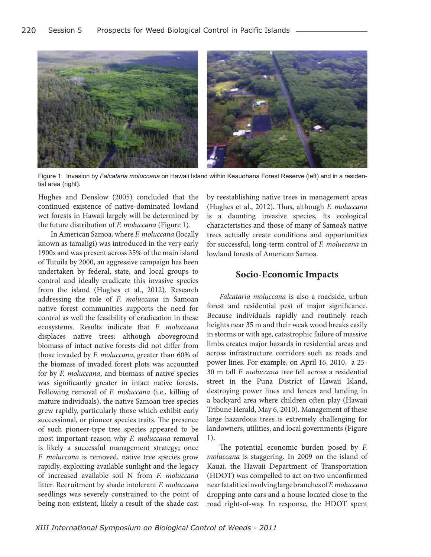

Figure 1. Invasion by *Falcataria moluccana* on Hawaii Island within Keauohana Forest Reserve (left) and in a residential area (right).

Hughes and Denslow (2005) concluded that the continued existence of native-dominated lowland wet forests in Hawaii largely will be determined by the future distribution of *F. moluccana* (Figure 1).

In American Samoa, where *F. moluccana* (locally known as tamaligi) was introduced in the very early 1900s and was present across 35% of the main island of Tutuila by 2000, an aggressive campaign has been undertaken by federal, state, and local groups to control and ideally eradicate this invasive species from the island (Hughes et al., 2012). Research addressing the role of *F. moluccana* in Samoan native forest communities supports the need for control as well the feasibility of eradication in these ecosystems. Results indicate that *F. moluccana* displaces native trees: although aboveground biomass of intact native forests did not differ from those invaded by *F. moluccana*, greater than 60% of the biomass of invaded forest plots was accounted for by *F. moluccana*, and biomass of native species was significantly greater in intact native forests. Following removal of *F. moluccana* (i.e., killing of mature individuals), the native Samoan tree species grew rapidly, particularly those which exhibit early successional, or pioneer species traits. The presence of such pioneer-type tree species appeared to be most important reason why *F. moluccana* removal is likely a successful management strategy; once *F. moluccana* is removed, native tree species grow rapidly, exploiting available sunlight and the legacy of increased available soil N from *F. moluccana* litter. Recruitment by shade intolerant *F. moluccana* seedlings was severely constrained to the point of being non-existent, likely a result of the shade cast by reestablishing native trees in management areas (Hughes et al., 2012). Thus, although *F. moluccana* is a daunting invasive species, its ecological characteristics and those of many of Samoa's native trees actually create conditions and opportunities for successful, long-term control of *F. moluccana* in lowland forests of American Samoa.

#### **Socio-Economic Impacts**

*Falcataria moluccana* is also a roadside, urban forest and residential pest of major significance. Because individuals rapidly and routinely reach heights near 35 m and their weak wood breaks easily in storms or with age, catastrophic failure of massive limbs creates major hazards in residential areas and across infrastructure corridors such as roads and power lines. For example, on April 16, 2010, a 25- 30 m tall *F. moluccana* tree fell across a residential street in the Puna District of Hawaii Island, destroying power lines and fences and landing in a backyard area where children often play (Hawaii Tribune Herald, May 6, 2010). Management of these large hazardous trees is extremely challenging for landowners, utilities, and local governments (Figure 1).

The potential economic burden posed by *F. moluccana* is staggering. In 2009 on the island of Kauai, the Hawaii Department of Transportation (HDOT) was compelled to act on two unconfirmed near fatalities involving large branches of *F. moluccana* dropping onto cars and a house located close to the road right-of-way. In response, the HDOT spent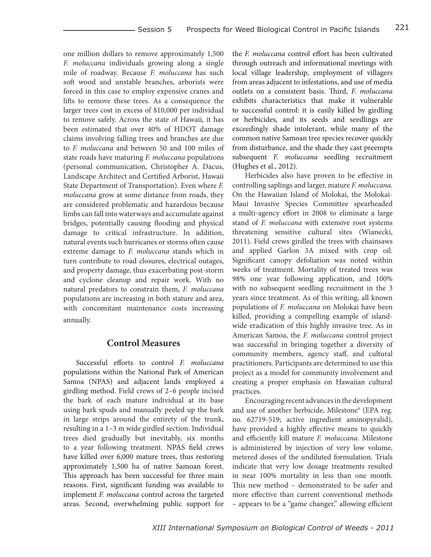one million dollars to remove approximately 1,500 *F. moluccana* individuals growing along a single mile of roadway. Because *F. moluccana* has such soft wood and unstable branches, arborists were forced in this case to employ expensive cranes and lifts to remove these trees. As a consequence the larger trees cost in excess of \$10,000 per individual to remove safely. Across the state of Hawaii, it has been estimated that over 40% of HDOT damage claims involving falling trees and branches are due to *F. moluccana* and between 50 and 100 miles of state roads have maturing *F. moluccana* populations (personal communication, Christopher A. Dacus, Landscape Architect and Certified Arborist, Hawaii State Department of Transportation). Even where *F. moluccana* grow at some distance from roads, they are considered problematic and hazardous because limbs can fall into waterways and accumulate against bridges, potentially causing flooding and physical damage to critical infrastructure. In addition, natural events such hurricanes or storms often cause extreme damage to *F. moluccana* stands which in turn contribute to road closures, electrical outages, and property damage, thus exacerbating post-storm and cyclone cleanup and repair work. With no natural predators to constrain them, *F. moluccana* populations are increasing in both stature and area, with concomitant maintenance costs increasing annually.

## **Control Measures**

Successful efforts to control *F. moluccana* populations within the National Park of American Samoa (NPAS) and adjacent lands employed a girdling method. Field crews of 2–6 people incised the bark of each mature individual at its base using bark spuds and manually peeled up the bark in large strips around the entirety of the trunk, resulting in a 1–3 m wide girdled section. Individual trees died gradually but inevitably, six months to a year following treatment. NPAS field crews have killed over 6,000 mature trees, thus restoring approximately 1,500 ha of native Samoan forest. This approach has been successful for three main reasons. First, significant funding was available to implement *F. moluccana* control across the targeted areas. Second, overwhelming public support for the *F. moluccana* control effort has been cultivated through outreach and informational meetings with local village leadership, employment of villagers from areas adjacent to infestations, and use of media outlets on a consistent basis. Third, *F. moluccana* exhibits characteristics that make it vulnerable to successful control: it is easily killed by girdling or herbicides, and its seeds and seedlings are exceedingly shade intolerant, while many of the common native Samoan tree species recover quickly from disturbance, and the shade they cast preempts subsequent *F. moluccana* seedling recruitment (Hughes et al., 2012).

Herbicides also have proven to be effective in controlling saplings and larger, mature *F. moluccana*. On the Hawaiian Island of Molokai, the Molokai-Maui Invasive Species Committee spearheaded a multi-agency effort in 2008 to eliminate a large stand of *F. moluccana* with extensive root systems threatening sensitive cultural sites (Wianecki, 2011). Field crews girdled the trees with chainsaws and applied Garlon 3A mixed with crop oil. Significant canopy defoliation was noted within weeks of treatment. Mortality of treated trees was 98% one year following application, and 100% with no subsequent seedling recruitment in the 3 years since treatment. As of this writing, all known populations of *F. moluccana* on Molokai have been killed, providing a compelling example of islandwide eradication of this highly invasive tree. As in American Samoa, the *F. moluccana* control project was successful in bringing together a diversity of community members, agency staff, and cultural practitioners. Participants are determined to use this project as a model for community involvement and creating a proper emphasis on Hawaiian cultural practices.

Encouraging recent advances in the development and use of another herbicide, Milestone® (EPA reg. no. 62719-519; active ingredient aminopyralid), have provided a highly effective means to quickly and efficiently kill mature *F. moluccana*. Milestone is administered by injection of very low volume, metered doses of the undiluted formulation*.* Trials indicate that very low dosage treatments resulted in near 100% mortality in less than one month. This new method – demonstrated to be safer and more effective than current conventional methods – appears to be a "game changer," allowing efficient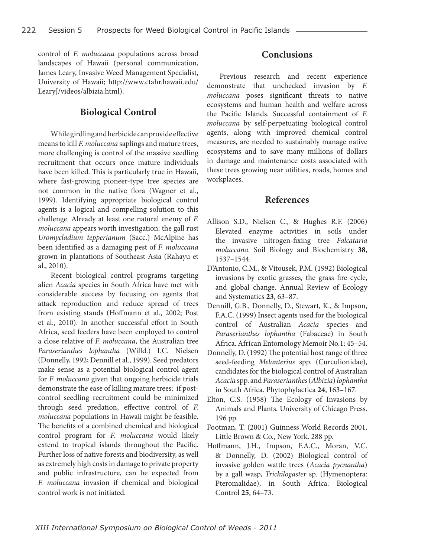control of *F. moluccana* populations across broad landscapes of Hawaii (personal communication, James Leary, Invasive Weed Management Specialist, University of Hawaii; http://www.ctahr.hawaii.edu/ LearyJ/videos/albizia.html).

# **Biological Control**

While girdling and herbicide can provide effective means to kill *F. moluccana* saplings and mature trees, more challenging is control of the massive seedling recruitment that occurs once mature individuals have been killed. This is particularly true in Hawaii, where fast-growing pioneer-type tree species are not common in the native flora (Wagner et al., 1999). Identifying appropriate biological control agents is a logical and compelling solution to this challenge. Already at least one natural enemy of *F. moluccana* appears worth investigation: the gall rust *Uromycladium tepperianum* (Sacc.) McAlpine has been identified as a damaging pest of *F. moluccana* grown in plantations of Southeast Asia (Rahayu et al., 2010).

Recent biological control programs targeting alien *Acacia* species in South Africa have met with considerable success by focusing on agents that attack reproduction and reduce spread of trees from existing stands (Hoffmann et al., 2002; Post et al., 2010). In another successful effort in South Africa, seed feeders have been employed to control a close relative of *F. moluccana*, the Australian tree *Paraserianthes lophantha* (Willd.) I.C. Nielsen (Donnelly, 1992; Dennill et al., 1999). Seed predators make sense as a potential biological control agent for *F. moluccana* given that ongoing herbicide trials demonstrate the ease of killing mature trees: if postcontrol seedling recruitment could be minimized through seed predation, effective control of *F. moluccana* populations in Hawaii might be feasible. The benefits of a combined chemical and biological control program for *F. moluccana* would likely extend to tropical islands throughout the Pacific. Further loss of native forests and biodiversity, as well as extremely high costs in damage to private property and public infrastructure, can be expected from *F. moluccana* invasion if chemical and biological control work is not initiated.

# **Conclusions**

Previous research and recent experience demonstrate that unchecked invasion by *F. moluccana* poses significant threats to native ecosystems and human health and welfare across the Pacific Islands. Successful containment of *F. moluccana* by self-perpetuating biological control agents, along with improved chemical control measures, are needed to sustainably manage native ecosystems and to save many millions of dollars in damage and maintenance costs associated with these trees growing near utilities, roads, homes and workplaces.

## **References**

- Allison S.D., Nielsen C., & Hughes R.F. (2006) Elevated enzyme activities in soils under the invasive nitrogen-fixing tree *Falcataria moluccana*. Soil Biology and Biochemistry **38**, 1537–1544.
- D'Antonio, C.M., & Vitousek, P.M. (1992) Biological invasions by exotic grasses, the grass fire cycle, and global change. Annual Review of Ecology and Systematics **23**, 63–87.
- Dennill, G.B., Donnelly, D., Stewart, K., & Impson, F.A.C. (1999) Insect agents used for the biological control of Australian *Acacia* species and *Paraserianthes lophantha* (Fabaceae) in South Africa. African Entomology Memoir No.1: 45–54.
- Donnelly, D. (1992) The potential host range of three seed-feeding *Melanterius* spp. (Curculionidae), candidates for the biological control of Australian *Acacia* spp. and *Paraserianthes* (*Albizia*) *lophantha*  in South Africa. Phytophylactica **24**, 163–167.
- Elton, C.S. (1958) The Ecology of Invasions by Animals and Plants. University of Chicago Press. 196 pp.
- Footman, T. (2001) Guinness World Records 2001. Little Brown & Co., New York. 288 pp.
- Hoffmann, J.H., Impson, F.A.C., Moran, V.C. & Donnelly, D. (2002) Biological control of invasive golden wattle trees (*Acacia pycnantha*) by a gall wasp, *Trichilogaster* sp. (Hymenoptera: Pteromalidae), in South Africa. Biological Control **25**, 64–73.